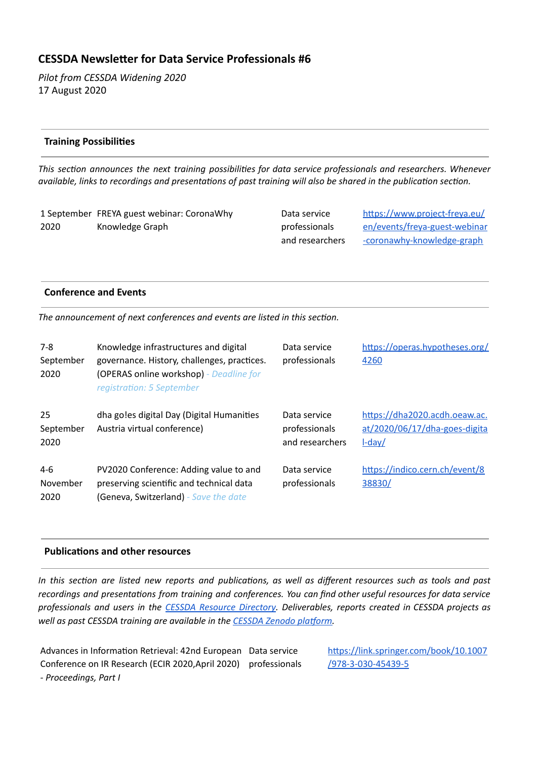# **CESSDA Newsleer for Data Service Professionals #6**

*Pilot from CESSDA Widening 2020*  17 August 2020

## **Training Possibilies**

*This secon announces the next training possibilies for data service professionals and researchers. Whenever available, links to recordings and presentations of past training will also be shared in the publication section.* 

1 September FREYA guest webinar: CoronaWhy 2020 Knowledge Graph

Data service professionals and researchers https://www.project-freya.eu/ [en/events/freya-guest-webinar](https://www.project-freya.eu/en/events/freya-guest-webinar-coronawhy-knowledge-graph) [-coronawhy-knowledge-graph](https://www.project-freya.eu/en/events/freya-guest-webinar-coronawhy-knowledge-graph)

### **Conference and Events**

*The announcement of next conferences and events are listed in this section.* 

| $7 - 8$<br>September<br>2020 | Knowledge infrastructures and digital<br>governance. History, challenges, practices.<br>(OPERAS online workshop) - Deadline for<br>registration: 5 September | Data service<br>professionals                    | https://operas.hypotheses.org/<br>4260                                      |
|------------------------------|--------------------------------------------------------------------------------------------------------------------------------------------------------------|--------------------------------------------------|-----------------------------------------------------------------------------|
| 25<br>September<br>2020      | dha go!es digital Day (Digital Humanities<br>Austria virtual conference)                                                                                     | Data service<br>professionals<br>and researchers | https://dha2020.acdh.oeaw.ac.<br>at/2020/06/17/dha-goes-digita<br>$L$ -day/ |
| $4-6$<br>November<br>2020    | PV2020 Conference: Adding value to and<br>preserving scientific and technical data<br>(Geneva, Switzerland) - Save the date                                  | Data service<br>professionals                    | https://indico.cern.ch/event/8<br>38830/                                    |

#### **Publications and other resources**

In this section are listed new reports and publications, as well as different resources such as tools and past *recordings and presentaons from training and conferences. You can find other useful resources for data service professionals and users in the CESSDA Resource [Directory](https://www.zotero.org/groups/2382601/cessda_resource_directory/library). Deliverables, reports created in CESSDA projects as well* as past CESSDA training are available in the CESSDA Zenodo platform.

Advances in Information Retrieval: 42nd European Data service Conference on IR Research (ECIR 2020,April 2020) professionals *- Proceedings, Part I*

https://link.springer.com/book/10.1007 [/978-3-030-45439-5](https://link.springer.com/book/10.1007/978-3-030-45439-5)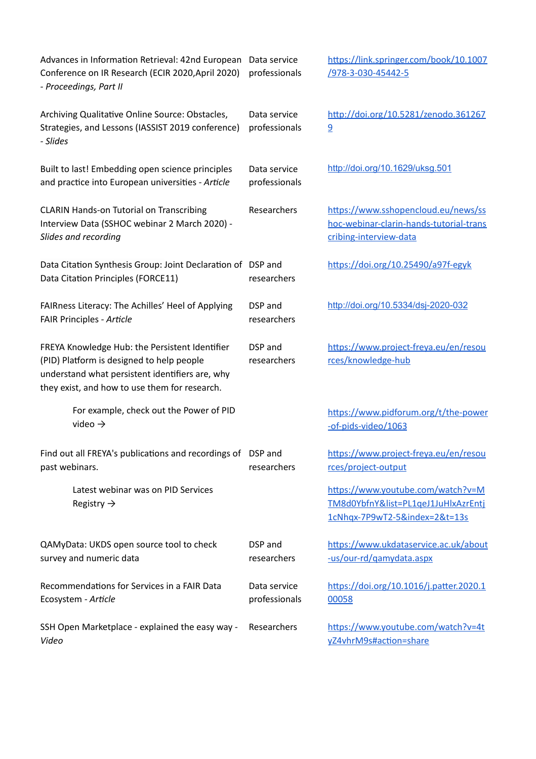| Advances in Information Retrieval: 42nd European<br>Conference on IR Research (ECIR 2020, April 2020)<br>- Proceedings, Part II                                                                 | Data service<br>professionals | https://link.springer.com/book/10.1007<br><u>/978-3-030-45442-5</u>                                       |
|-------------------------------------------------------------------------------------------------------------------------------------------------------------------------------------------------|-------------------------------|-----------------------------------------------------------------------------------------------------------|
| Archiving Qualitative Online Source: Obstacles,<br>Strategies, and Lessons (IASSIST 2019 conference)<br>- Slides                                                                                | Data service<br>professionals | http://doi.org/10.5281/zenodo.361267<br>$\overline{9}$                                                    |
| Built to last! Embedding open science principles<br>and practice into European universities - Article                                                                                           | Data service<br>professionals | http://doi.org/10.1629/uksg.501                                                                           |
| <b>CLARIN Hands-on Tutorial on Transcribing</b><br>Interview Data (SSHOC webinar 2 March 2020) -<br>Slides and recording                                                                        | Researchers                   | https://www.sshopencloud.eu/news/ss<br>hoc-webinar-clarin-hands-tutorial-trans<br>cribing-interview-data  |
| Data Citation Synthesis Group: Joint Declaration of DSP and<br>Data Citation Principles (FORCE11)                                                                                               | researchers                   | https://doi.org/10.25490/a97f-egyk                                                                        |
| FAIRness Literacy: The Achilles' Heel of Applying<br>FAIR Principles - Article                                                                                                                  | DSP and<br>researchers        | http://doi.org/10.5334/dsj-2020-032                                                                       |
| FREYA Knowledge Hub: the Persistent Identifier<br>(PID) Platform is designed to help people<br>understand what persistent identifiers are, why<br>they exist, and how to use them for research. | DSP and<br>researchers        | https://www.project-freya.eu/en/resou<br>rces/knowledge-hub                                               |
| For example, check out the Power of PID<br>video $\rightarrow$                                                                                                                                  |                               | https://www.pidforum.org/t/the-power<br>-of-pids-video/1063                                               |
| Find out all FREYA's publications and recordings of DSP and<br>past webinars.                                                                                                                   | researchers                   | https://www.project-freya.eu/en/resou<br>rces/project-output                                              |
| Latest webinar was on PID Services<br>Registry $\rightarrow$                                                                                                                                    |                               | https://www.youtube.com/watch?v=M<br>TM8d0YbfnY&list=PL1qeJ1JuHlxAzrEntj<br>1cNhqx-7P9wT2-5&index=2&t=13s |
| QAMyData: UKDS open source tool to check<br>survey and numeric data                                                                                                                             | DSP and<br>researchers        | https://www.ukdataservice.ac.uk/about<br>-us/our-rd/gamydata.aspx                                         |
| Recommendations for Services in a FAIR Data<br>Ecosystem - Article                                                                                                                              | Data service<br>professionals | https://doi.org/10.1016/j.patter.2020.1<br>00058                                                          |
| SSH Open Marketplace - explained the easy way -<br>Video                                                                                                                                        | Researchers                   | https://www.youtube.com/watch?v=4t<br>yZ4vhrM9s#action=share                                              |